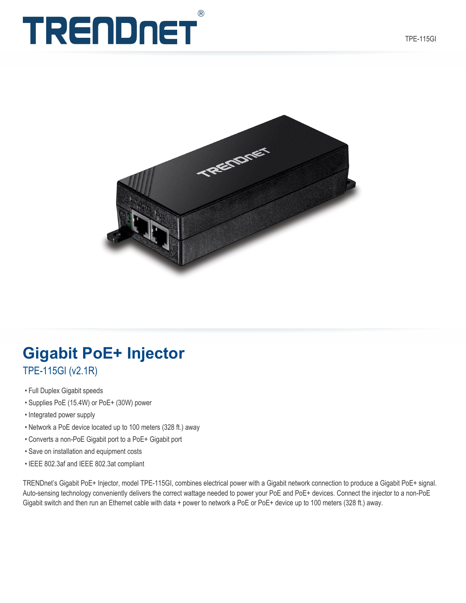# $(R)$ TRENDNET



# **Gigabit PoE+ Injector**

TPE-115GI (v2.1R)

- Full Duplex Gigabit speeds
- Supplies PoE (15.4W) or PoE+ (30W) power
- Integrated power supply
- Network a PoE device located up to 100 meters (328 ft.) away
- Converts a non-PoE Gigabit port to a PoE+ Gigabit port
- Save on installation and equipment costs
- IEEE 802.3af and IEEE 802.3at compliant

TRENDnet's Gigabit PoE+ Injector, model TPE-115GI, combines electrical power with a Gigabit network connection to produce a Gigabit PoE+ signal. Auto-sensing technology conveniently delivers the correct wattage needed to power your PoE and PoE+ devices. Connect the injector to a non-PoE Gigabit switch and then run an Ethernet cable with data + power to network a PoE or PoE+ device up to 100 meters (328 ft.) away.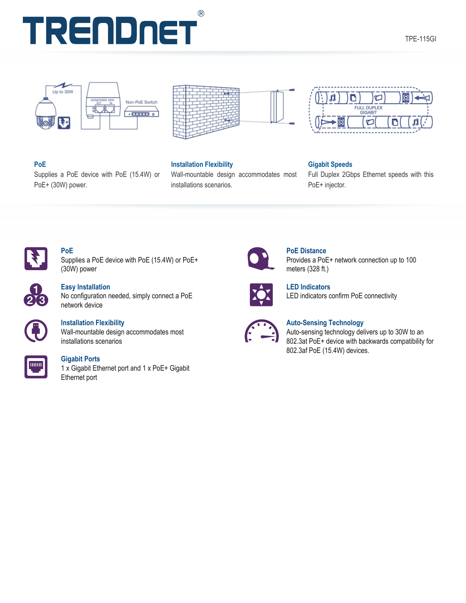





# **PoE**

Supplies a PoE device with PoE (15.4W) or PoE+ (30W) power.

### **Installation Flexibility**

Wall-mountable design accommodates most installations scenarios.



## **Gigabit Speeds**

Full Duplex 2Gbps Ethernet speeds with this PoE+ injector.



# **PoE**

Supplies a PoE device with PoE (15.4W) or PoE+ (30W) power



## **Easy Installation**

No configuration needed, simply connect a PoE network device



## **Installation Flexibility**

Wall-mountable design accommodates most installations scenarios



### **Gigabit Ports**

1 x Gigabit Ethernet port and 1 x PoE+ Gigabit Ethernet port



## **PoE Distance**

Provides a PoE+ network connection up to 100 meters (328 ft.)



**LED Indicators** LED indicators confirm PoE connectivity



## **Auto-Sensing Technology**

Auto-sensing technology delivers up to 30W to an 802.3at PoE+ device with backwards compatibility for 802.3af PoE (15.4W) devices.